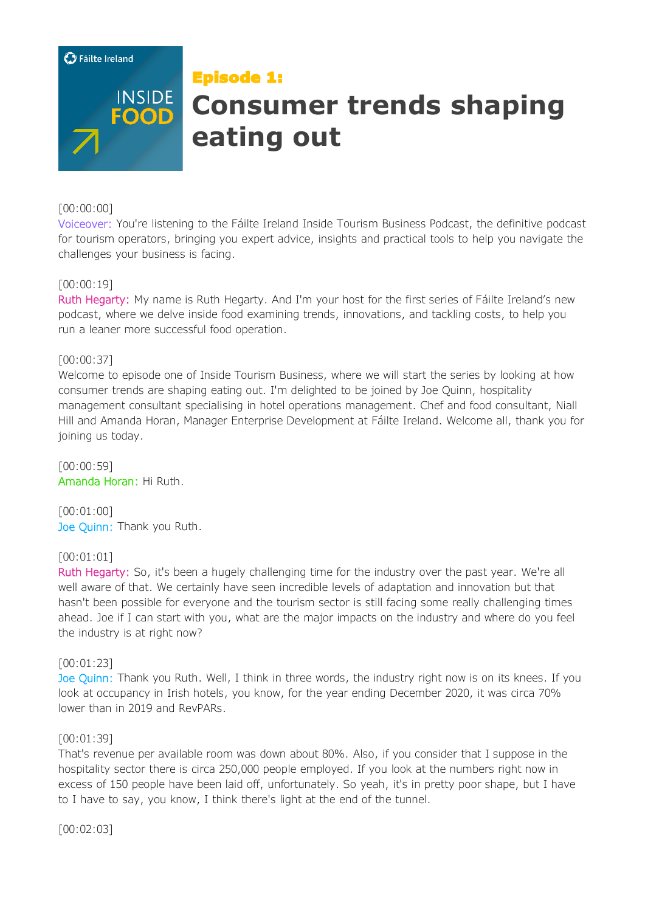#### **O** Fäilte Ireland

**INSIDE**<br>FOOD

## Episode 1:

# **Consumer trends shaping eating out**

## [00:00:00]

Voiceover: You're listening to the Fáilte Ireland Inside Tourism Business Podcast, the definitive podcast for tourism operators, bringing you expert advice, insights and practical tools to help you navigate the challenges your business is facing.

## [00:00:19]

Ruth Hegarty: My name is Ruth Hegarty. And I'm your host for the first series of Fáilte Ireland's new podcast, where we delve inside food examining trends, innovations, and tackling costs, to help you run a leaner more successful food operation.

#### [00:00:37]

Welcome to episode one of Inside Tourism Business, where we will start the series by looking at how consumer trends are shaping eating out. I'm delighted to be joined by Joe Quinn, hospitality management consultant specialising in hotel operations management. Chef and food consultant, Niall Hill and Amanda Horan, Manager Enterprise Development at Fáilte Ireland. Welcome all, thank you for joining us today.

[00:00:59] Amanda Horan: Hi Ruth.

[00:01:00] Joe Quinn: Thank you Ruth.

#### [00:01:01]

Ruth Hegarty: So, it's been a hugely challenging time for the industry over the past year. We're all well aware of that. We certainly have seen incredible levels of adaptation and innovation but that hasn't been possible for everyone and the tourism sector is still facing some really challenging times ahead. Joe if I can start with you, what are the major impacts on the industry and where do you feel the industry is at right now?

#### [00:01:23]

Joe Quinn: Thank you Ruth. Well, I think in three words, the industry right now is on its knees. If you look at occupancy in Irish hotels, you know, for the year ending December 2020, it was circa 70% lower than in 2019 and RevPARs.

#### [00:01:39]

That's revenue per available room was down about 80%. Also, if you consider that I suppose in the hospitality sector there is circa 250,000 people employed. If you look at the numbers right now in excess of 150 people have been laid off, unfortunately. So yeah, it's in pretty poor shape, but I have to I have to say, you know, I think there's light at the end of the tunnel.

[00:02:03]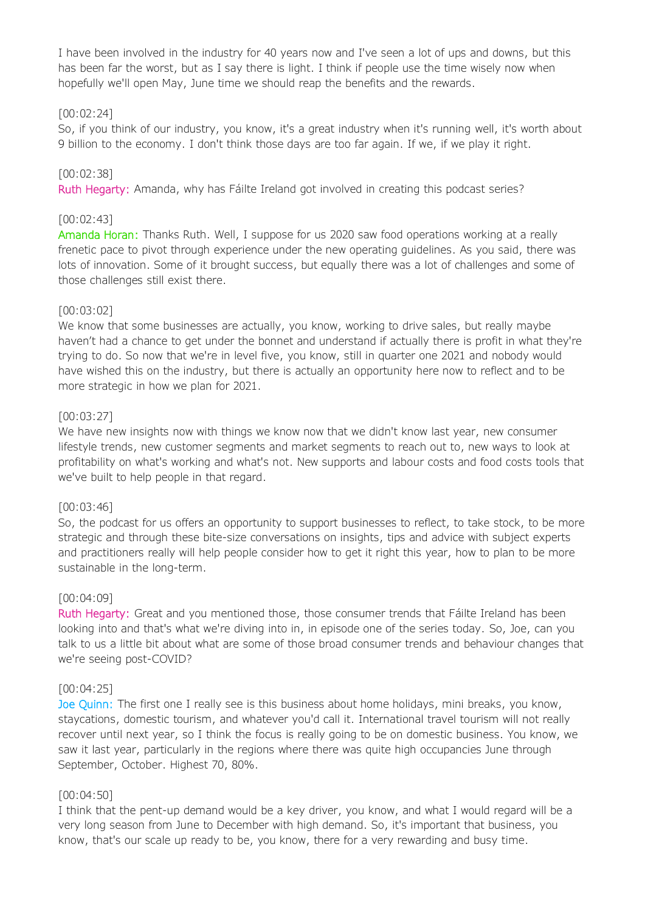I have been involved in the industry for 40 years now and I've seen a lot of ups and downs, but this has been far the worst, but as I say there is light. I think if people use the time wisely now when hopefully we'll open May, June time we should reap the benefits and the rewards.

## [00:02:24]

So, if you think of our industry, you know, it's a great industry when it's running well, it's worth about 9 billion to the economy. I don't think those days are too far again. If we, if we play it right.

#### [00:02:38]

Ruth Hegarty: Amanda, why has Fáilte Ireland got involved in creating this podcast series?

## [00:02:43]

Amanda Horan: Thanks Ruth. Well, I suppose for us 2020 saw food operations working at a really frenetic pace to pivot through experience under the new operating guidelines. As you said, there was lots of innovation. Some of it brought success, but equally there was a lot of challenges and some of those challenges still exist there.

#### [00:03:02]

We know that some businesses are actually, you know, working to drive sales, but really maybe haven't had a chance to get under the bonnet and understand if actually there is profit in what they're trying to do. So now that we're in level five, you know, still in quarter one 2021 and nobody would have wished this on the industry, but there is actually an opportunity here now to reflect and to be more strategic in how we plan for 2021.

#### [00:03:27]

We have new insights now with things we know now that we didn't know last year, new consumer lifestyle trends, new customer segments and market segments to reach out to, new ways to look at profitability on what's working and what's not. New supports and labour costs and food costs tools that we've built to help people in that regard.

#### [00:03:46]

So, the podcast for us offers an opportunity to support businesses to reflect, to take stock, to be more strategic and through these bite-size conversations on insights, tips and advice with subject experts and practitioners really will help people consider how to get it right this year, how to plan to be more sustainable in the long-term.

#### [00:04:09]

Ruth Hegarty: Great and you mentioned those, those consumer trends that Fáilte Ireland has been looking into and that's what we're diving into in, in episode one of the series today. So, Joe, can you talk to us a little bit about what are some of those broad consumer trends and behaviour changes that we're seeing post-COVID?

#### [00:04:25]

Joe Quinn: The first one I really see is this business about home holidays, mini breaks, you know, staycations, domestic tourism, and whatever you'd call it. International travel tourism will not really recover until next year, so I think the focus is really going to be on domestic business. You know, we saw it last year, particularly in the regions where there was quite high occupancies June through September, October. Highest 70, 80%.

#### [00:04:50]

I think that the pent-up demand would be a key driver, you know, and what I would regard will be a very long season from June to December with high demand. So, it's important that business, you know, that's our scale up ready to be, you know, there for a very rewarding and busy time.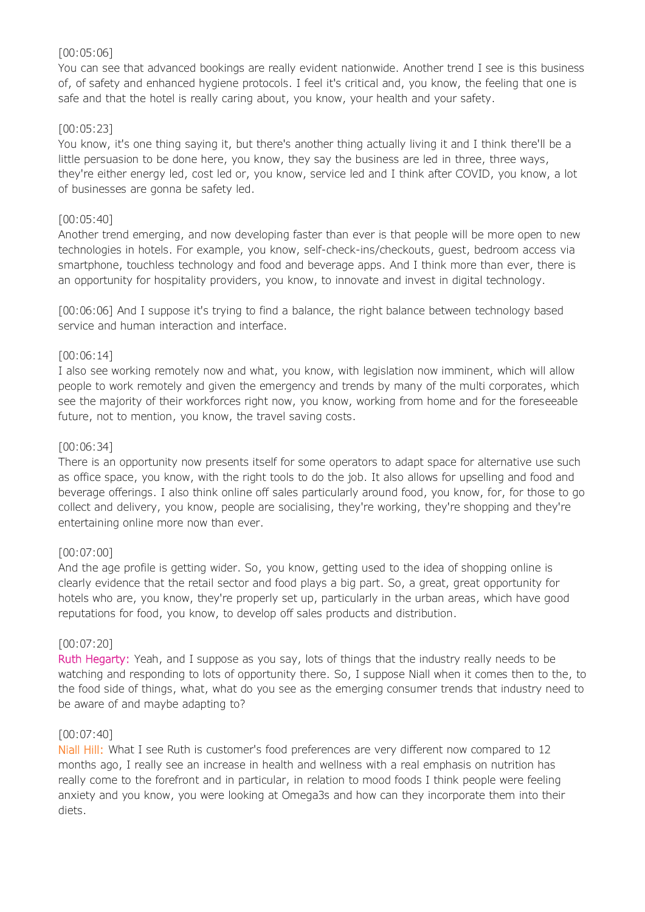## [00:05:06]

You can see that advanced bookings are really evident nationwide. Another trend I see is this business of, of safety and enhanced hygiene protocols. I feel it's critical and, you know, the feeling that one is safe and that the hotel is really caring about, you know, your health and your safety.

## [00:05:23]

You know, it's one thing saying it, but there's another thing actually living it and I think there'll be a little persuasion to be done here, you know, they say the business are led in three, three ways, they're either energy led, cost led or, you know, service led and I think after COVID, you know, a lot of businesses are gonna be safety led.

## [00:05:40]

Another trend emerging, and now developing faster than ever is that people will be more open to new technologies in hotels. For example, you know, self-check-ins/checkouts, guest, bedroom access via smartphone, touchless technology and food and beverage apps. And I think more than ever, there is an opportunity for hospitality providers, you know, to innovate and invest in digital technology.

[00:06:06] And I suppose it's trying to find a balance, the right balance between technology based service and human interaction and interface.

## [00:06:14]

I also see working remotely now and what, you know, with legislation now imminent, which will allow people to work remotely and given the emergency and trends by many of the multi corporates, which see the majority of their workforces right now, you know, working from home and for the foreseeable future, not to mention, you know, the travel saving costs.

## [00:06:34]

There is an opportunity now presents itself for some operators to adapt space for alternative use such as office space, you know, with the right tools to do the job. It also allows for upselling and food and beverage offerings. I also think online off sales particularly around food, you know, for, for those to go collect and delivery, you know, people are socialising, they're working, they're shopping and they're entertaining online more now than ever.

#### [00:07:00]

And the age profile is getting wider. So, you know, getting used to the idea of shopping online is clearly evidence that the retail sector and food plays a big part. So, a great, great opportunity for hotels who are, you know, they're properly set up, particularly in the urban areas, which have good reputations for food, you know, to develop off sales products and distribution.

#### [00:07:20]

Ruth Hegarty: Yeah, and I suppose as you say, lots of things that the industry really needs to be watching and responding to lots of opportunity there. So, I suppose Niall when it comes then to the, to the food side of things, what, what do you see as the emerging consumer trends that industry need to be aware of and maybe adapting to?

#### [00:07:40]

Niall Hill: What I see Ruth is customer's food preferences are very different now compared to 12 months ago, I really see an increase in health and wellness with a real emphasis on nutrition has really come to the forefront and in particular, in relation to mood foods I think people were feeling anxiety and you know, you were looking at Omega3s and how can they incorporate them into their diets.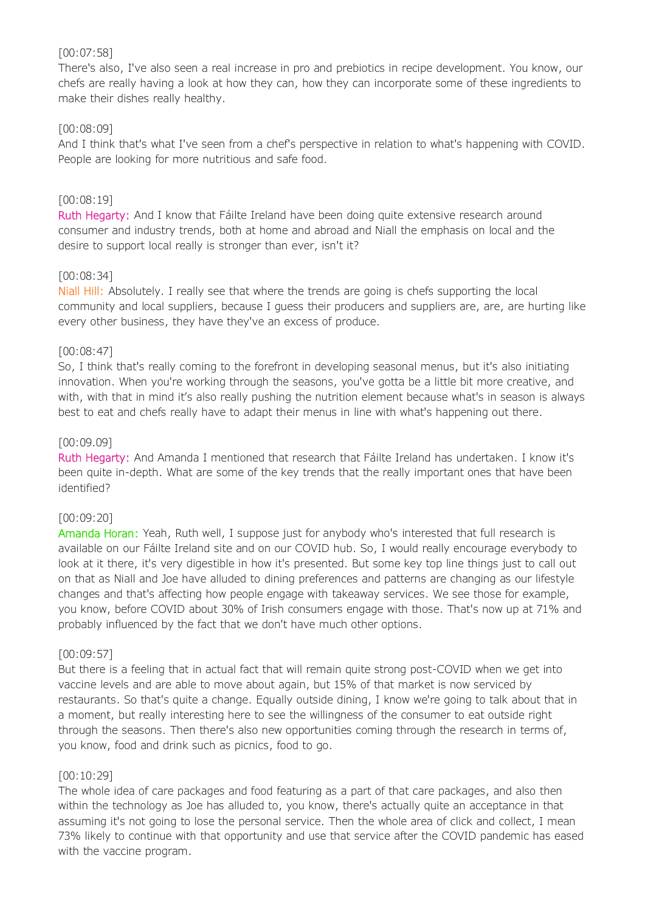## [00:07:58]

There's also, I've also seen a real increase in pro and prebiotics in recipe development. You know, our chefs are really having a look at how they can, how they can incorporate some of these ingredients to make their dishes really healthy.

## [00:08:09]

And I think that's what I've seen from a chef's perspective in relation to what's happening with COVID. People are looking for more nutritious and safe food.

## [00:08:19]

Ruth Hegarty: And I know that Fáilte Ireland have been doing quite extensive research around consumer and industry trends, both at home and abroad and Niall the emphasis on local and the desire to support local really is stronger than ever, isn't it?

#### [00:08:34]

Niall Hill: Absolutely. I really see that where the trends are going is chefs supporting the local community and local suppliers, because I guess their producers and suppliers are, are, are hurting like every other business, they have they've an excess of produce.

## [00:08:47]

So, I think that's really coming to the forefront in developing seasonal menus, but it's also initiating innovation. When you're working through the seasons, you've gotta be a little bit more creative, and with, with that in mind it's also really pushing the nutrition element because what's in season is always best to eat and chefs really have to adapt their menus in line with what's happening out there.

#### [00:09.09]

Ruth Hegarty: And Amanda I mentioned that research that Fáilte Ireland has undertaken. I know it's been quite in-depth. What are some of the key trends that the really important ones that have been identified?

#### [00:09:20]

Amanda Horan: Yeah, Ruth well, I suppose just for anybody who's interested that full research is available on our Fáilte Ireland site and on our COVID hub. So, I would really encourage everybody to look at it there, it's very digestible in how it's presented. But some key top line things just to call out on that as Niall and Joe have alluded to dining preferences and patterns are changing as our lifestyle changes and that's affecting how people engage with takeaway services. We see those for example, you know, before COVID about 30% of Irish consumers engage with those. That's now up at 71% and probably influenced by the fact that we don't have much other options.

#### [00:09:57]

But there is a feeling that in actual fact that will remain quite strong post-COVID when we get into vaccine levels and are able to move about again, but 15% of that market is now serviced by restaurants. So that's quite a change. Equally outside dining, I know we're going to talk about that in a moment, but really interesting here to see the willingness of the consumer to eat outside right through the seasons. Then there's also new opportunities coming through the research in terms of, you know, food and drink such as picnics, food to go.

#### [00:10:29]

The whole idea of care packages and food featuring as a part of that care packages, and also then within the technology as Joe has alluded to, you know, there's actually quite an acceptance in that assuming it's not going to lose the personal service. Then the whole area of click and collect, I mean 73% likely to continue with that opportunity and use that service after the COVID pandemic has eased with the vaccine program.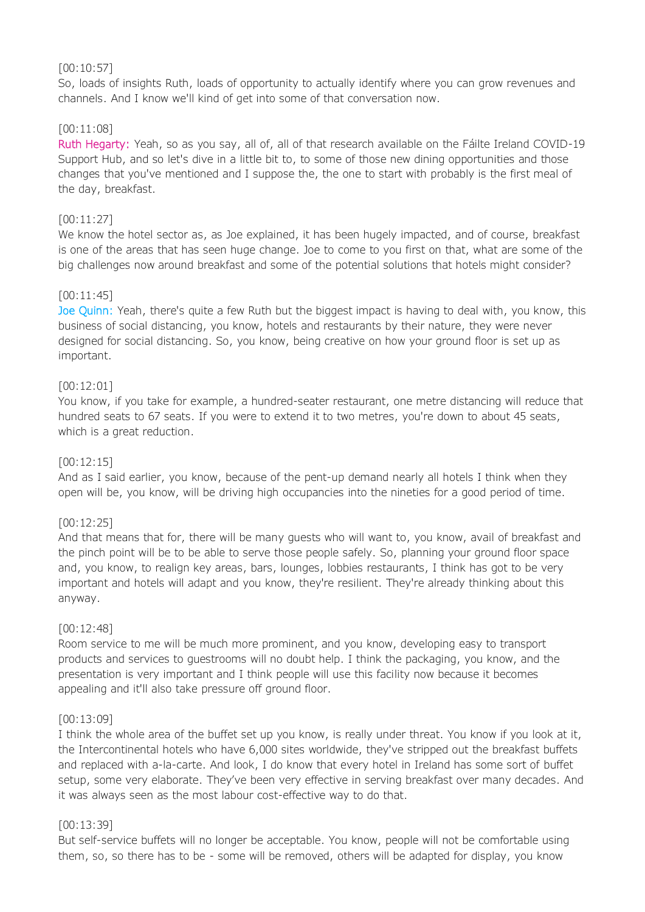## [00:10:57]

So, loads of insights Ruth, loads of opportunity to actually identify where you can grow revenues and channels. And I know we'll kind of get into some of that conversation now.

## [00:11:08]

Ruth Hegarty: Yeah, so as you say, all of, all of that research available on the Fáilte Ireland COVID-19 Support Hub, and so let's dive in a little bit to, to some of those new dining opportunities and those changes that you've mentioned and I suppose the, the one to start with probably is the first meal of the day, breakfast.

#### [00:11:27]

We know the hotel sector as, as Joe explained, it has been hugely impacted, and of course, breakfast is one of the areas that has seen huge change. Joe to come to you first on that, what are some of the big challenges now around breakfast and some of the potential solutions that hotels might consider?

#### [00:11:45]

Joe Quinn: Yeah, there's quite a few Ruth but the biggest impact is having to deal with, you know, this business of social distancing, you know, hotels and restaurants by their nature, they were never designed for social distancing. So, you know, being creative on how your ground floor is set up as important.

#### [00:12:01]

You know, if you take for example, a hundred-seater restaurant, one metre distancing will reduce that hundred seats to 67 seats. If you were to extend it to two metres, you're down to about 45 seats, which is a great reduction.

#### [00:12:15]

And as I said earlier, you know, because of the pent-up demand nearly all hotels I think when they open will be, you know, will be driving high occupancies into the nineties for a good period of time.

#### [00:12:25]

And that means that for, there will be many guests who will want to, you know, avail of breakfast and the pinch point will be to be able to serve those people safely. So, planning your ground floor space and, you know, to realign key areas, bars, lounges, lobbies restaurants, I think has got to be very important and hotels will adapt and you know, they're resilient. They're already thinking about this anyway.

#### [00:12:48]

Room service to me will be much more prominent, and you know, developing easy to transport products and services to guestrooms will no doubt help. I think the packaging, you know, and the presentation is very important and I think people will use this facility now because it becomes appealing and it'll also take pressure off ground floor.

#### [00:13:09]

I think the whole area of the buffet set up you know, is really under threat. You know if you look at it, the Intercontinental hotels who have 6,000 sites worldwide, they've stripped out the breakfast buffets and replaced with a-la-carte. And look, I do know that every hotel in Ireland has some sort of buffet setup, some very elaborate. They've been very effective in serving breakfast over many decades. And it was always seen as the most labour cost-effective way to do that.

#### [00:13:39]

But self-service buffets will no longer be acceptable. You know, people will not be comfortable using them, so, so there has to be - some will be removed, others will be adapted for display, you know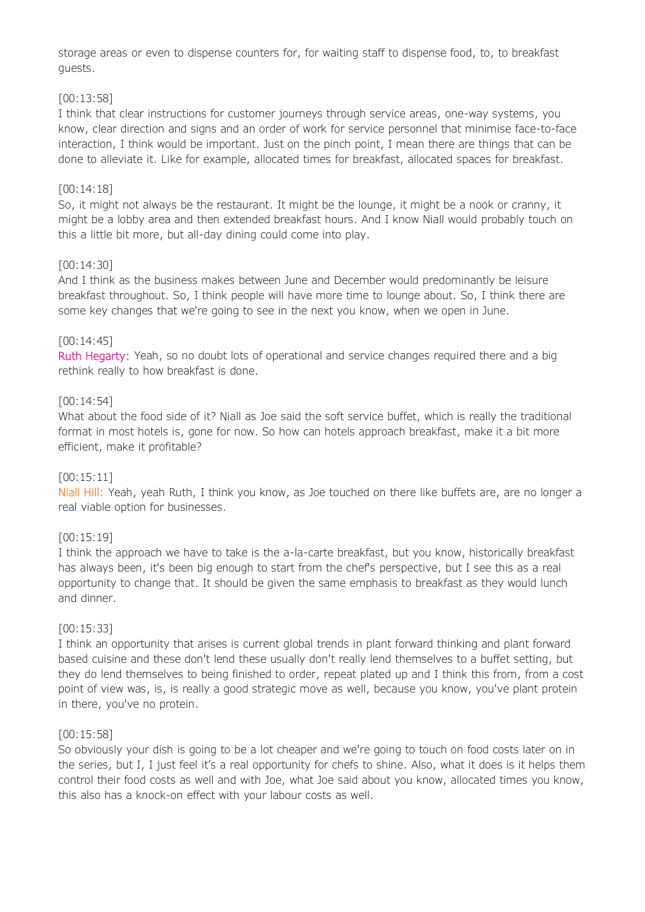storage areas or even to dispense counters for, for waiting staff to dispense food, to, to breakfast guests.

## [00:13:58]

I think that clear instructions for customer journeys through service areas, one-way systems, you know, clear direction and signs and an order of work for service personnel that minimise face-to-face interaction, I think would be important. Just on the pinch point, I mean there are things that can be done to alleviate it. Like for example, allocated times for breakfast, allocated spaces for breakfast.

## [00:14:18]

So, it might not always be the restaurant. It might be the lounge, it might be a nook or cranny, it might be a lobby area and then extended breakfast hours. And I know Niall would probably touch on this a little bit more, but all-day dining could come into play.

## [00:14:30]

And I think as the business makes between June and December would predominantly be leisure breakfast throughout. So, I think people will have more time to lounge about. So, I think there are some key changes that we're going to see in the next you know, when we open in June.

## [00:14:45]

Ruth Hegarty: Yeah, so no doubt lots of operational and service changes required there and a big rethink really to how breakfast is done.

## [00:14:54]

What about the food side of it? Niall as Joe said the soft service buffet, which is really the traditional format in most hotels is, gone for now. So how can hotels approach breakfast, make it a bit more efficient, make it profitable?

#### [00:15:11]

Niall Hill: Yeah, yeah Ruth, I think you know, as Joe touched on there like buffets are, are no longer a real viable option for businesses.

#### [00:15:19]

I think the approach we have to take is the a-la-carte breakfast, but you know, historically breakfast has always been, it's been big enough to start from the chef's perspective, but I see this as a real opportunity to change that. It should be given the same emphasis to breakfast as they would lunch and dinner.

#### [00:15:33]

I think an opportunity that arises is current global trends in plant forward thinking and plant forward based cuisine and these don't lend these usually don't really lend themselves to a buffet setting, but they do lend themselves to being finished to order, repeat plated up and I think this from, from a cost point of view was, is, is really a good strategic move as well, because you know, you've plant protein in there, you've no protein.

#### [00:15:58]

So obviously your dish is going to be a lot cheaper and we're going to touch on food costs later on in the series, but I, I just feel it's a real opportunity for chefs to shine. Also, what it does is it helps them control their food costs as well and with Joe, what Joe said about you know, allocated times you know, this also has a knock-on effect with your labour costs as well.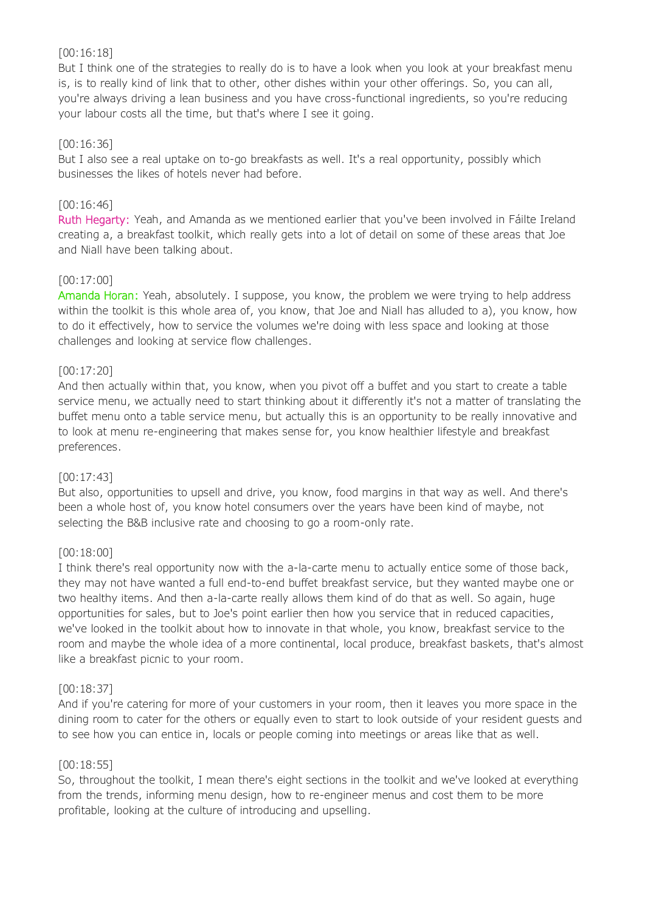## [00:16:18]

But I think one of the strategies to really do is to have a look when you look at your breakfast menu is, is to really kind of link that to other, other dishes within your other offerings. So, you can all, you're always driving a lean business and you have cross-functional ingredients, so you're reducing your labour costs all the time, but that's where I see it going.

## [00:16:36]

But I also see a real uptake on to-go breakfasts as well. It's a real opportunity, possibly which businesses the likes of hotels never had before.

## [00:16:46]

Ruth Hegarty: Yeah, and Amanda as we mentioned earlier that you've been involved in Fáilte Ireland creating a, a breakfast toolkit, which really gets into a lot of detail on some of these areas that Joe and Niall have been talking about.

## [00:17:00]

Amanda Horan: Yeah, absolutely. I suppose, you know, the problem we were trying to help address within the toolkit is this whole area of, you know, that Joe and Niall has alluded to a), you know, how to do it effectively, how to service the volumes we're doing with less space and looking at those challenges and looking at service flow challenges.

## [00:17:20]

And then actually within that, you know, when you pivot off a buffet and you start to create a table service menu, we actually need to start thinking about it differently it's not a matter of translating the buffet menu onto a table service menu, but actually this is an opportunity to be really innovative and to look at menu re-engineering that makes sense for, you know healthier lifestyle and breakfast preferences.

#### [00:17:43]

But also, opportunities to upsell and drive, you know, food margins in that way as well. And there's been a whole host of, you know hotel consumers over the years have been kind of maybe, not selecting the B&B inclusive rate and choosing to go a room-only rate.

#### [00:18:00]

I think there's real opportunity now with the a-la-carte menu to actually entice some of those back, they may not have wanted a full end-to-end buffet breakfast service, but they wanted maybe one or two healthy items. And then a-la-carte really allows them kind of do that as well. So again, huge opportunities for sales, but to Joe's point earlier then how you service that in reduced capacities, we've looked in the toolkit about how to innovate in that whole, you know, breakfast service to the room and maybe the whole idea of a more continental, local produce, breakfast baskets, that's almost like a breakfast picnic to your room.

#### [00:18:37]

And if you're catering for more of your customers in your room, then it leaves you more space in the dining room to cater for the others or equally even to start to look outside of your resident guests and to see how you can entice in, locals or people coming into meetings or areas like that as well.

#### [00:18:55]

So, throughout the toolkit, I mean there's eight sections in the toolkit and we've looked at everything from the trends, informing menu design, how to re-engineer menus and cost them to be more profitable, looking at the culture of introducing and upselling.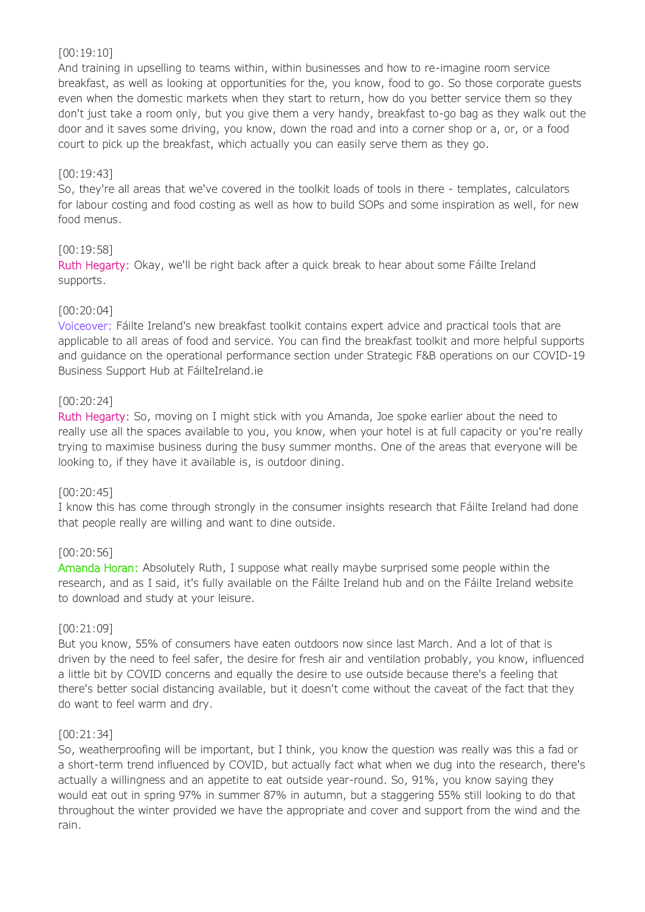## [00:19:10]

And training in upselling to teams within, within businesses and how to re-imagine room service breakfast, as well as looking at opportunities for the, you know, food to go. So those corporate guests even when the domestic markets when they start to return, how do you better service them so they don't just take a room only, but you give them a very handy, breakfast to-go bag as they walk out the door and it saves some driving, you know, down the road and into a corner shop or a, or, or a food court to pick up the breakfast, which actually you can easily serve them as they go.

## [00:19:43]

So, they're all areas that we've covered in the toolkit loads of tools in there - templates, calculators for labour costing and food costing as well as how to build SOPs and some inspiration as well, for new food menus.

## [00:19:58]

Ruth Hegarty: Okay, we'll be right back after a quick break to hear about some Fáilte Ireland supports.

## [00:20:04]

Voiceover: Fáilte Ireland's new breakfast toolkit contains expert advice and practical tools that are applicable to all areas of food and service. You can find the breakfast toolkit and more helpful supports and guidance on the operational performance section under Strategic F&B operations on our COVID-19 Business Support Hub at FáilteIreland.ie

## [00:20:24]

Ruth Hegarty: So, moving on I might stick with you Amanda, Joe spoke earlier about the need to really use all the spaces available to you, you know, when your hotel is at full capacity or you're really trying to maximise business during the busy summer months. One of the areas that everyone will be looking to, if they have it available is, is outdoor dining.

## [00:20:45]

I know this has come through strongly in the consumer insights research that Fáilte Ireland had done that people really are willing and want to dine outside.

#### [00:20:56]

Amanda Horan: Absolutely Ruth, I suppose what really maybe surprised some people within the research, and as I said, it's fully available on the Fáilte Ireland hub and on the Fáilte Ireland website to download and study at your leisure.

#### [00:21:09]

But you know, 55% of consumers have eaten outdoors now since last March. And a lot of that is driven by the need to feel safer, the desire for fresh air and ventilation probably, you know, influenced a little bit by COVID concerns and equally the desire to use outside because there's a feeling that there's better social distancing available, but it doesn't come without the caveat of the fact that they do want to feel warm and dry.

#### [00:21:34]

So, weatherproofing will be important, but I think, you know the question was really was this a fad or a short-term trend influenced by COVID, but actually fact what when we dug into the research, there's actually a willingness and an appetite to eat outside year-round. So, 91%, you know saying they would eat out in spring 97% in summer 87% in autumn, but a staggering 55% still looking to do that throughout the winter provided we have the appropriate and cover and support from the wind and the rain.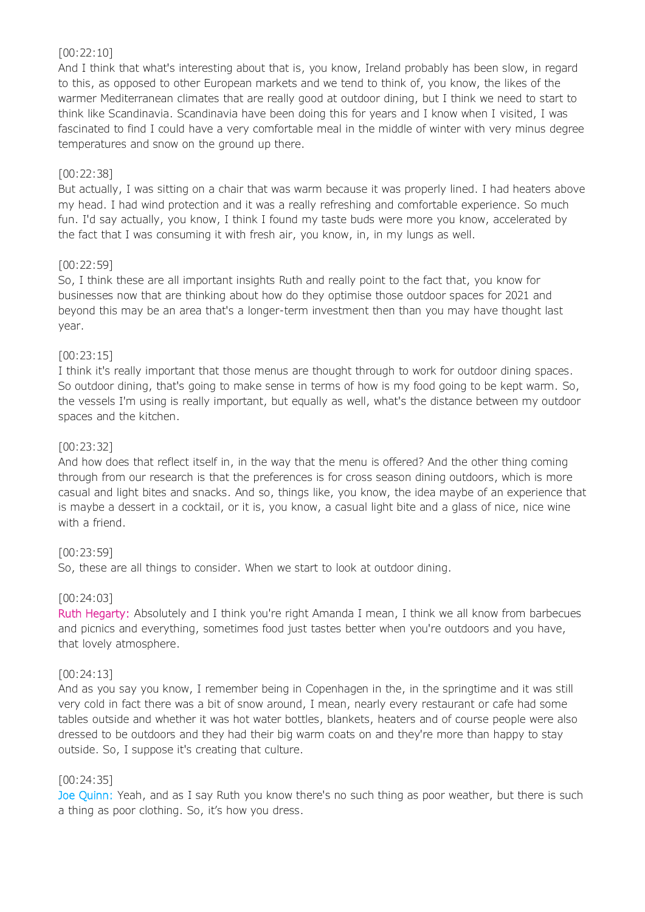## [00:22:10]

And I think that what's interesting about that is, you know, Ireland probably has been slow, in regard to this, as opposed to other European markets and we tend to think of, you know, the likes of the warmer Mediterranean climates that are really good at outdoor dining, but I think we need to start to think like Scandinavia. Scandinavia have been doing this for years and I know when I visited, I was fascinated to find I could have a very comfortable meal in the middle of winter with very minus degree temperatures and snow on the ground up there.

## [00:22:38]

But actually, I was sitting on a chair that was warm because it was properly lined. I had heaters above my head. I had wind protection and it was a really refreshing and comfortable experience. So much fun. I'd say actually, you know, I think I found my taste buds were more you know, accelerated by the fact that I was consuming it with fresh air, you know, in, in my lungs as well.

## [00:22:59]

So, I think these are all important insights Ruth and really point to the fact that, you know for businesses now that are thinking about how do they optimise those outdoor spaces for 2021 and beyond this may be an area that's a longer-term investment then than you may have thought last year.

## [00:23:15]

I think it's really important that those menus are thought through to work for outdoor dining spaces. So outdoor dining, that's going to make sense in terms of how is my food going to be kept warm. So, the vessels I'm using is really important, but equally as well, what's the distance between my outdoor spaces and the kitchen.

## [00:23:32]

And how does that reflect itself in, in the way that the menu is offered? And the other thing coming through from our research is that the preferences is for cross season dining outdoors, which is more casual and light bites and snacks. And so, things like, you know, the idea maybe of an experience that is maybe a dessert in a cocktail, or it is, you know, a casual light bite and a glass of nice, nice wine with a friend.

#### [00:23:59]

So, these are all things to consider. When we start to look at outdoor dining.

## [00:24:03]

Ruth Hegarty: Absolutely and I think you're right Amanda I mean, I think we all know from barbecues and picnics and everything, sometimes food just tastes better when you're outdoors and you have, that lovely atmosphere.

#### [00:24:13]

And as you say you know, I remember being in Copenhagen in the, in the springtime and it was still very cold in fact there was a bit of snow around, I mean, nearly every restaurant or cafe had some tables outside and whether it was hot water bottles, blankets, heaters and of course people were also dressed to be outdoors and they had their big warm coats on and they're more than happy to stay outside. So, I suppose it's creating that culture.

#### [00:24:35]

Joe Quinn: Yeah, and as I say Ruth you know there's no such thing as poor weather, but there is such a thing as poor clothing. So, it's how you dress.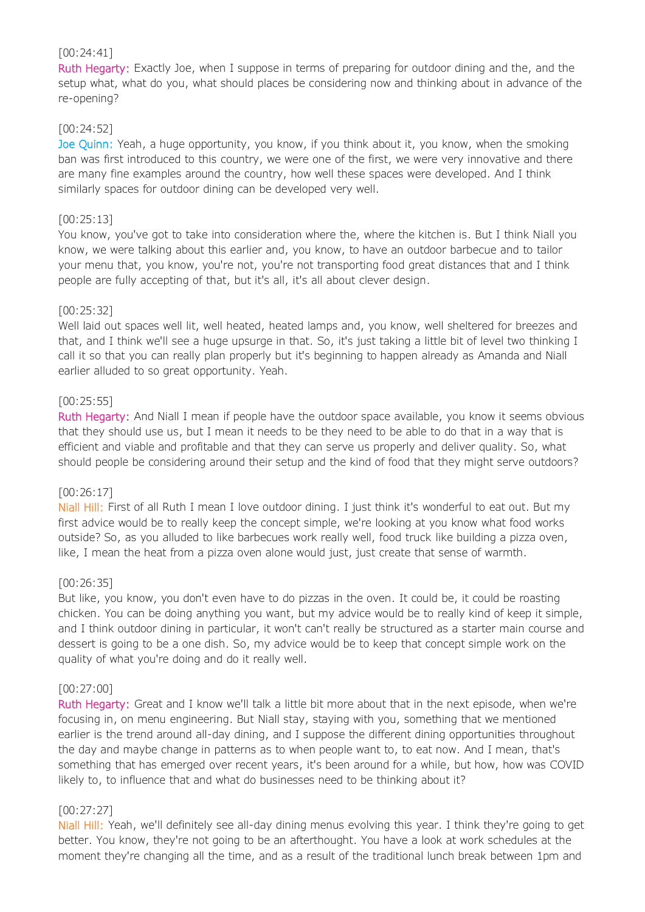#### [00:24:41]

Ruth Hegarty: Exactly Joe, when I suppose in terms of preparing for outdoor dining and the, and the setup what, what do you, what should places be considering now and thinking about in advance of the re-opening?

#### [00:24:52]

Joe Quinn: Yeah, a huge opportunity, you know, if you think about it, you know, when the smoking ban was first introduced to this country, we were one of the first, we were very innovative and there are many fine examples around the country, how well these spaces were developed. And I think similarly spaces for outdoor dining can be developed very well.

#### [00:25:13]

You know, you've got to take into consideration where the, where the kitchen is. But I think Niall you know, we were talking about this earlier and, you know, to have an outdoor barbecue and to tailor your menu that, you know, you're not, you're not transporting food great distances that and I think people are fully accepting of that, but it's all, it's all about clever design.

#### [00:25:32]

Well laid out spaces well lit, well heated, heated lamps and, you know, well sheltered for breezes and that, and I think we'll see a huge upsurge in that. So, it's just taking a little bit of level two thinking I call it so that you can really plan properly but it's beginning to happen already as Amanda and Niall earlier alluded to so great opportunity. Yeah.

#### [00:25:55]

Ruth Hegarty: And Niall I mean if people have the outdoor space available, you know it seems obvious that they should use us, but I mean it needs to be they need to be able to do that in a way that is efficient and viable and profitable and that they can serve us properly and deliver quality. So, what should people be considering around their setup and the kind of food that they might serve outdoors?

#### [00:26:17]

Niall Hill: First of all Ruth I mean I love outdoor dining. I just think it's wonderful to eat out. But my first advice would be to really keep the concept simple, we're looking at you know what food works outside? So, as you alluded to like barbecues work really well, food truck like building a pizza oven, like, I mean the heat from a pizza oven alone would just, just create that sense of warmth.

#### [00:26:35]

But like, you know, you don't even have to do pizzas in the oven. It could be, it could be roasting chicken. You can be doing anything you want, but my advice would be to really kind of keep it simple, and I think outdoor dining in particular, it won't can't really be structured as a starter main course and dessert is going to be a one dish. So, my advice would be to keep that concept simple work on the quality of what you're doing and do it really well.

#### [00:27:00]

Ruth Hegarty: Great and I know we'll talk a little bit more about that in the next episode, when we're focusing in, on menu engineering. But Niall stay, staying with you, something that we mentioned earlier is the trend around all-day dining, and I suppose the different dining opportunities throughout the day and maybe change in patterns as to when people want to, to eat now. And I mean, that's something that has emerged over recent years, it's been around for a while, but how, how was COVID likely to, to influence that and what do businesses need to be thinking about it?

#### [00:27:27]

Niall Hill: Yeah, we'll definitely see all-day dining menus evolving this year. I think they're going to get better. You know, they're not going to be an afterthought. You have a look at work schedules at the moment they're changing all the time, and as a result of the traditional lunch break between 1pm and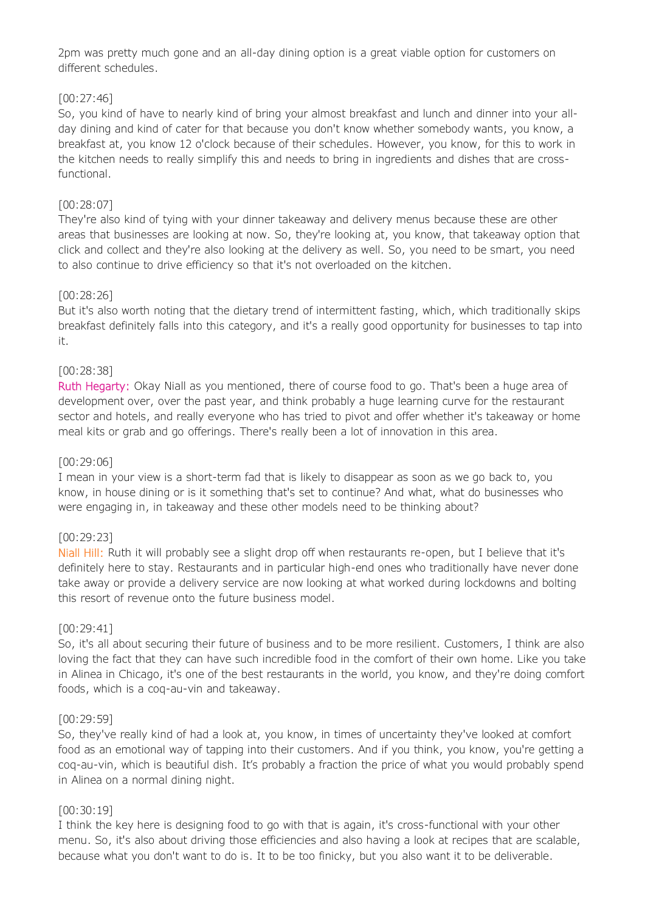2pm was pretty much gone and an all-day dining option is a great viable option for customers on different schedules.

## [00:27:46]

So, you kind of have to nearly kind of bring your almost breakfast and lunch and dinner into your allday dining and kind of cater for that because you don't know whether somebody wants, you know, a breakfast at, you know 12 o'clock because of their schedules. However, you know, for this to work in the kitchen needs to really simplify this and needs to bring in ingredients and dishes that are crossfunctional.

## [00:28:07]

They're also kind of tying with your dinner takeaway and delivery menus because these are other areas that businesses are looking at now. So, they're looking at, you know, that takeaway option that click and collect and they're also looking at the delivery as well. So, you need to be smart, you need to also continue to drive efficiency so that it's not overloaded on the kitchen.

## [00:28:26]

But it's also worth noting that the dietary trend of intermittent fasting, which, which traditionally skips breakfast definitely falls into this category, and it's a really good opportunity for businesses to tap into it.

## [00:28:38]

Ruth Hegarty: Okay Niall as you mentioned, there of course food to go. That's been a huge area of development over, over the past year, and think probably a huge learning curve for the restaurant sector and hotels, and really everyone who has tried to pivot and offer whether it's takeaway or home meal kits or grab and go offerings. There's really been a lot of innovation in this area.

#### [00:29:06]

I mean in your view is a short-term fad that is likely to disappear as soon as we go back to, you know, in house dining or is it something that's set to continue? And what, what do businesses who were engaging in, in takeaway and these other models need to be thinking about?

#### [00:29:23]

Niall Hill: Ruth it will probably see a slight drop off when restaurants re-open, but I believe that it's definitely here to stay. Restaurants and in particular high-end ones who traditionally have never done take away or provide a delivery service are now looking at what worked during lockdowns and bolting this resort of revenue onto the future business model.

#### [00:29:41]

So, it's all about securing their future of business and to be more resilient. Customers, I think are also loving the fact that they can have such incredible food in the comfort of their own home. Like you take in Alinea in Chicago, it's one of the best restaurants in the world, you know, and they're doing comfort foods, which is a coq-au-vin and takeaway.

#### [00:29:59]

So, they've really kind of had a look at, you know, in times of uncertainty they've looked at comfort food as an emotional way of tapping into their customers. And if you think, you know, you're getting a coq-au-vin, which is beautiful dish. It's probably a fraction the price of what you would probably spend in Alinea on a normal dining night.

#### [00:30:19]

I think the key here is designing food to go with that is again, it's cross-functional with your other menu. So, it's also about driving those efficiencies and also having a look at recipes that are scalable, because what you don't want to do is. It to be too finicky, but you also want it to be deliverable.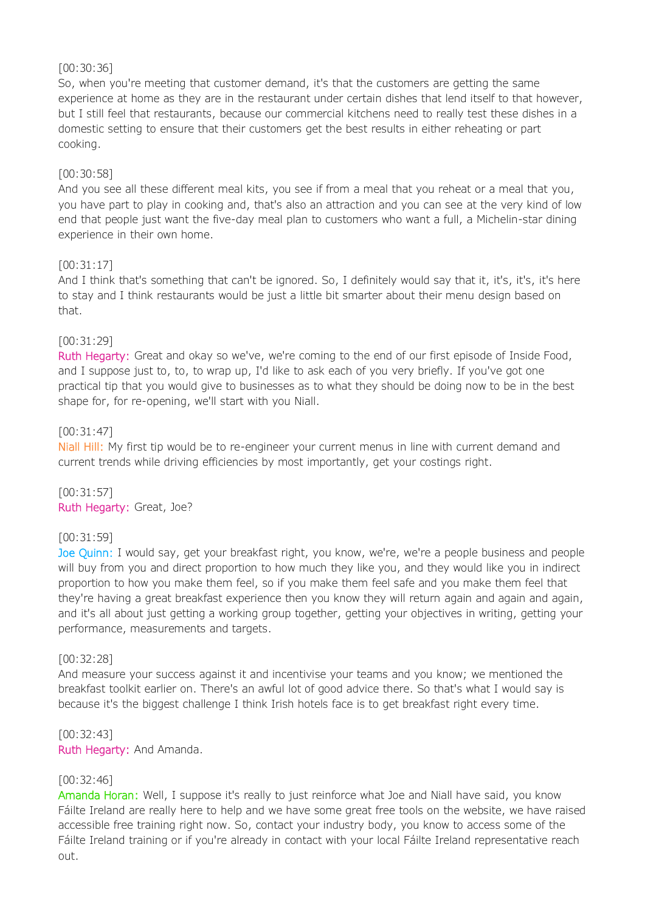## [00:30:36]

So, when you're meeting that customer demand, it's that the customers are getting the same experience at home as they are in the restaurant under certain dishes that lend itself to that however, but I still feel that restaurants, because our commercial kitchens need to really test these dishes in a domestic setting to ensure that their customers get the best results in either reheating or part cooking.

## [00:30:58]

And you see all these different meal kits, you see if from a meal that you reheat or a meal that you, you have part to play in cooking and, that's also an attraction and you can see at the very kind of low end that people just want the five-day meal plan to customers who want a full, a Michelin-star dining experience in their own home.

## [00:31:17]

And I think that's something that can't be ignored. So, I definitely would say that it, it's, it's, it's here to stay and I think restaurants would be just a little bit smarter about their menu design based on that.

## [00:31:29]

Ruth Hegarty: Great and okay so we've, we're coming to the end of our first episode of Inside Food, and I suppose just to, to, to wrap up, I'd like to ask each of you very briefly. If you've got one practical tip that you would give to businesses as to what they should be doing now to be in the best shape for, for re-opening, we'll start with you Niall.

## [00:31:47]

Niall Hill: My first tip would be to re-engineer your current menus in line with current demand and current trends while driving efficiencies by most importantly, get your costings right.

[00:31:57] Ruth Hegarty: Great, Joe?

#### [00:31:59]

Joe Quinn: I would say, get your breakfast right, you know, we're, we're a people business and people will buy from you and direct proportion to how much they like you, and they would like you in indirect proportion to how you make them feel, so if you make them feel safe and you make them feel that they're having a great breakfast experience then you know they will return again and again and again, and it's all about just getting a working group together, getting your objectives in writing, getting your performance, measurements and targets.

#### [00:32:28]

And measure your success against it and incentivise your teams and you know; we mentioned the breakfast toolkit earlier on. There's an awful lot of good advice there. So that's what I would say is because it's the biggest challenge I think Irish hotels face is to get breakfast right every time.

[00:32:43] Ruth Hegarty: And Amanda.

#### [00:32:46]

Amanda Horan: Well, I suppose it's really to just reinforce what Joe and Niall have said, you know Fáilte Ireland are really here to help and we have some great free tools on the website, we have raised accessible free training right now. So, contact your industry body, you know to access some of the Fáilte Ireland training or if you're already in contact with your local Fáilte Ireland representative reach out.